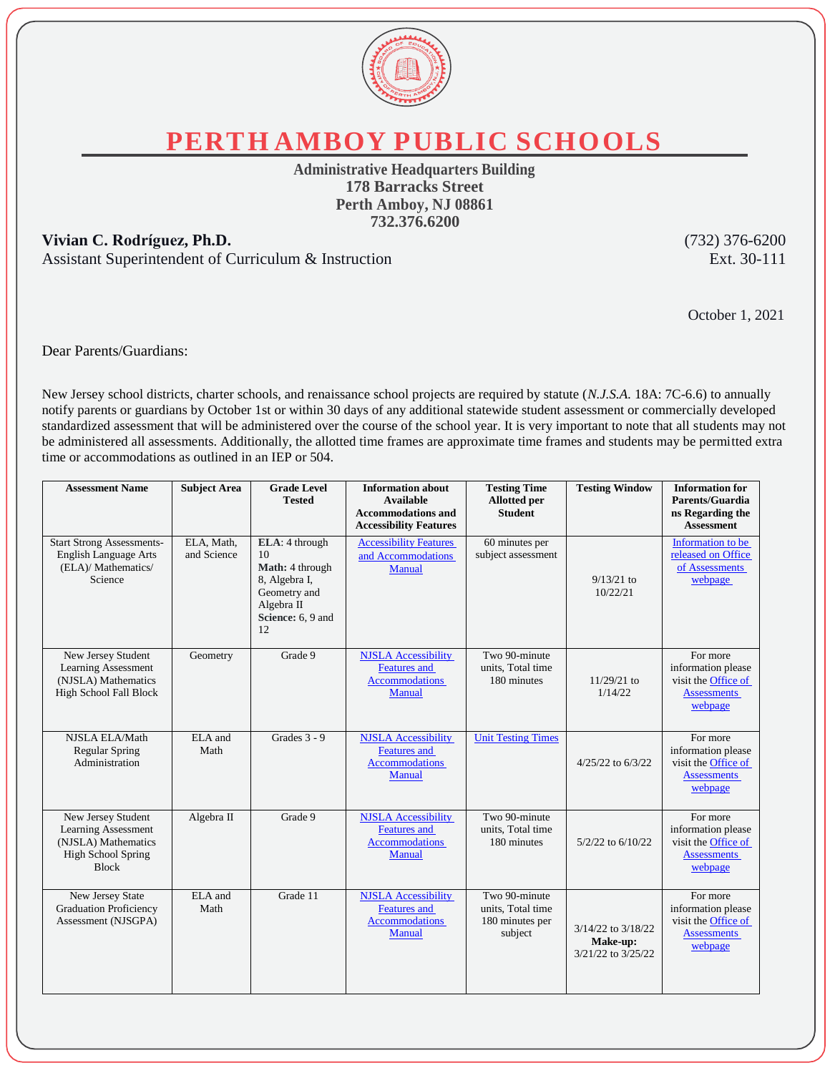

**PERTH AMBOY PUBLIC SCHOOLS**

**Administrative Headquarters Building 178 Barracks Street Perth Amboy, NJ 08861 732.376.6200**

## **Vivian C. Rodríguez, Ph.D.** (732) 376-6200

Assistant Superintendent of Curriculum & Instruction Ext. 30-111

October 1, 2021

Dear Parents/Guardians:

New Jersey school districts, charter schools, and renaissance school projects are required by statute (*N.J.S.A.* 18A: 7C-6.6) to annually notify parents or guardians by October 1st or within 30 days of any additional statewide student assessment or commercially developed standardized assessment that will be administered over the course of the school year. It is very important to note that all students may not be administered all assessments. Additionally, the allotted time frames are approximate time frames and students may be permitted extra time or accommodations as outlined in an IEP or 504.

| <b>Assessment Name</b>                                                                                               | <b>Subject Area</b>       | <b>Grade Level</b><br><b>Tested</b>                                                                               | <b>Information about</b><br><b>Available</b><br><b>Accommodations and</b><br><b>Accessibility Features</b> | <b>Testing Time</b><br><b>Allotted</b> per<br><b>Student</b>     | <b>Testing Window</b>                                | <b>Information for</b><br>Parents/Guardia<br>ns Regarding the<br><b>Assessment</b>     |
|----------------------------------------------------------------------------------------------------------------------|---------------------------|-------------------------------------------------------------------------------------------------------------------|------------------------------------------------------------------------------------------------------------|------------------------------------------------------------------|------------------------------------------------------|----------------------------------------------------------------------------------------|
| <b>Start Strong Assessments-</b><br><b>English Language Arts</b><br>(ELA)/ Mathematics/<br>Science                   | ELA, Math,<br>and Science | ELA: 4 through<br>10<br>Math: 4 through<br>8, Algebra I,<br>Geometry and<br>Algebra II<br>Science: 6, 9 and<br>12 | <b>Accessibility Features</b><br>and Accommodations<br>Manual                                              | 60 minutes per<br>subject assessment                             | $9/13/21$ to<br>10/22/21                             | Information to be<br>released on Office<br>of Assessments<br>webpage                   |
| New Jersey Student<br>Learning Assessment<br>(NJSLA) Mathematics<br>High School Fall Block                           | Geometry                  | Grade 9                                                                                                           | <b>NJSLA</b> Accessibility<br><b>Features</b> and<br><b>Accommodations</b><br>Manual                       | Two 90-minute<br>units, Total time<br>180 minutes                | $11/29/21$ to<br>1/14/22                             | For more<br>information please<br>visit the Office of<br><b>Assessments</b><br>webpage |
| NJSLA ELA/Math<br><b>Regular Spring</b><br>Administration                                                            | ELA and<br>Math           | Grades $3 - 9$                                                                                                    | <b>NJSLA</b> Accessibility<br><b>Features</b> and<br>Accommodations<br>Manual                              | <b>Unit Testing Times</b>                                        | 4/25/22 to 6/3/22                                    | For more<br>information please<br>visit the Office of<br><b>Assessments</b><br>webpage |
| New Jersey Student<br><b>Learning Assessment</b><br>(NJSLA) Mathematics<br><b>High School Spring</b><br><b>Block</b> | Algebra II                | Grade 9                                                                                                           | <b>NJSLA</b> Accessibility<br><b>Features</b> and<br>Accommodations<br>Manual                              | Two 90-minute<br>units. Total time<br>180 minutes                | 5/2/22 to 6/10/22                                    | For more<br>information please<br>visit the Office of<br><b>Assessments</b><br>webpage |
| New Jersey State<br><b>Graduation Proficiency</b><br>Assessment (NJSGPA)                                             | ELA and<br>Math           | Grade 11                                                                                                          | <b>NJSLA</b> Accessibility<br><b>Features</b> and<br><b>Accommodations</b><br>Manual                       | Two 90-minute<br>units, Total time<br>180 minutes per<br>subject | 3/14/22 to 3/18/22<br>Make-up:<br>3/21/22 to 3/25/22 | For more<br>information please<br>visit the Office of<br><b>Assessments</b><br>webpage |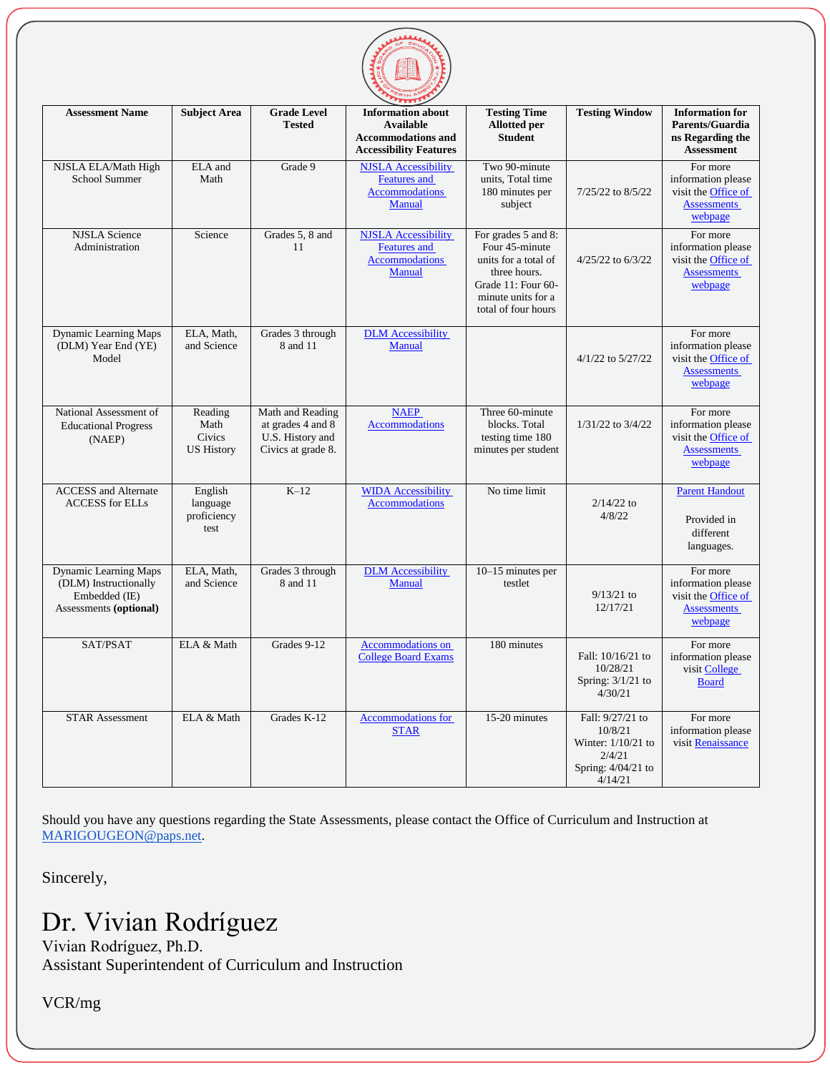

| <b>Assessment Name</b>                                                                    | <b>Subject Area</b>                            | <b>Grade Level</b><br><b>Tested</b>                                             | <b>Information about</b><br><b>Available</b><br><b>Accommodations and</b><br><b>Accessibility Features</b> | <b>Testing Time</b><br><b>Allotted</b> per<br><b>Student</b>                                                                                     | <b>Testing Window</b>                                                                          | <b>Information for</b><br>Parents/Guardia<br>ns Regarding the<br><b>Assessment</b>            |
|-------------------------------------------------------------------------------------------|------------------------------------------------|---------------------------------------------------------------------------------|------------------------------------------------------------------------------------------------------------|--------------------------------------------------------------------------------------------------------------------------------------------------|------------------------------------------------------------------------------------------------|-----------------------------------------------------------------------------------------------|
| NJSLA ELA/Math High<br>School Summer                                                      | ELA and<br>Math                                | Grade 9                                                                         | <b>NJSLA</b> Accessibility<br><b>Features</b> and<br><b>Accommodations</b><br><b>Manual</b>                | Two 90-minute<br>units, Total time<br>180 minutes per<br>subject                                                                                 | 7/25/22 to 8/5/22                                                                              | For more<br>information please<br>visit the Office of<br><b>Assessments</b><br>webpage        |
| <b>NJSLA</b> Science<br>Administration                                                    | Science                                        | Grades 5, 8 and<br>11                                                           | <b>NJSLA Accessibility</b><br><b>Features</b> and<br><b>Accommodations</b><br>Manual                       | For grades 5 and 8:<br>Four 45-minute<br>units for a total of<br>three hours.<br>Grade 11: Four 60-<br>minute units for a<br>total of four hours | 4/25/22 to 6/3/22                                                                              | For more<br>information please<br>visit the Office of<br><b>Assessments</b><br>webpage        |
| <b>Dynamic Learning Maps</b><br>(DLM) Year End (YE)<br>Model                              | ELA, Math,<br>and Science                      | Grades 3 through<br>8 and 11                                                    | <b>DLM</b> Accessibility<br><b>Manual</b>                                                                  |                                                                                                                                                  | 4/1/22 to 5/27/22                                                                              | For more<br>information please<br>visit the Office of<br><b>Assessments</b><br>webpage        |
| National Assessment of<br><b>Educational Progress</b><br>(NAEP)                           | Reading<br>Math<br>Civics<br><b>US History</b> | Math and Reading<br>at grades 4 and 8<br>U.S. History and<br>Civics at grade 8. | <b>NAEP</b><br><b>Accommodations</b>                                                                       | Three 60-minute<br>blocks. Total<br>testing time 180<br>minutes per student                                                                      | 1/31/22 to 3/4/22                                                                              | For more<br>information please<br>visit the Office of<br><b>Assessments</b><br>webpage        |
| <b>ACCESS</b> and Alternate<br><b>ACCESS</b> for ELLs                                     | English<br>language<br>proficiency<br>test     | $K-12$                                                                          | <b>WIDA</b> Accessibility<br><b>Accommodations</b>                                                         | No time limit                                                                                                                                    | $2/14/22$ to<br>4/8/22                                                                         | <b>Parent Handout</b><br>Provided in<br>different<br>languages.                               |
| Dynamic Learning Maps<br>(DLM) Instructionally<br>Embedded (IE)<br>Assessments (optional) | ELA, Math,<br>and Science                      | Grades 3 through<br>8 and 11                                                    | <b>DLM</b> Accessibility<br>Manual                                                                         | 10–15 minutes per<br>testlet                                                                                                                     | $9/13/21$ to<br>12/17/21                                                                       | For more<br>information please<br>visit the <b>Office</b> of<br><b>Assessments</b><br>webpage |
| SAT/PSAT                                                                                  | ELA & Math                                     | Grades 9-12                                                                     | <b>Accommodations</b> on<br><b>College Board Exams</b>                                                     | 180 minutes                                                                                                                                      | Fall: 10/16/21 to<br>10/28/21<br>Spring: 3/1/21 to<br>4/30/21                                  | For more<br>information please<br>visit College<br><b>Board</b>                               |
| <b>STAR Assessment</b>                                                                    | ELA & Math                                     | Grades K-12                                                                     | <b>Accommodations for</b><br><b>STAR</b>                                                                   | 15-20 minutes                                                                                                                                    | Fall: 9/27/21 to<br>10/8/21<br>Winter: $1/10/21$ to<br>2/4/21<br>Spring: 4/04/21 to<br>4/14/21 | For more<br>information please<br>visit Renaissance                                           |

Should you have any questions regarding the State Assessments, please contact the Office of Curriculum and Instruction at [MARIGOUGEON@paps.net.](mailto:MARIGOUGEON@paps.net)

Sincerely,

## Dr. Vivian Rodríguez

Vivian Rodríguez, Ph.D. Assistant Superintendent of Curriculum and Instruction

VCR/mg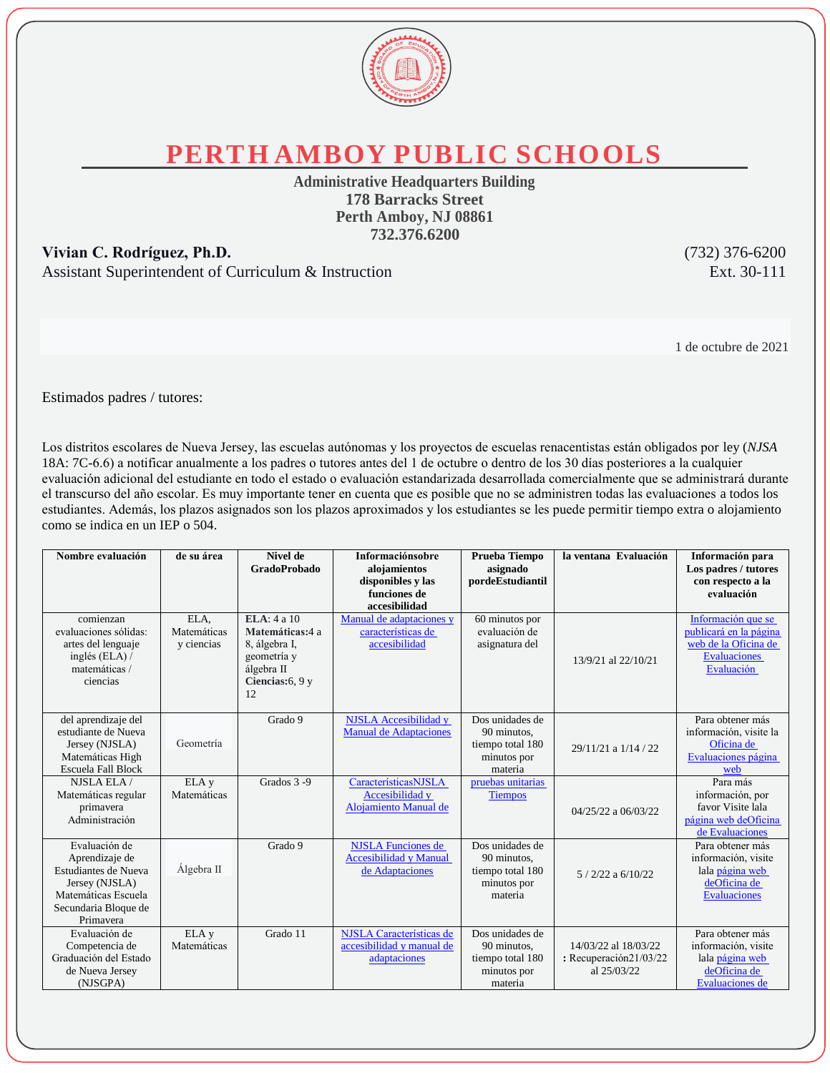

**PERTH AMBOY PUBLIC SCHOOLS**

**Administrative Headquarters Building 178 Barracks Street Perth Amboy, NJ 08861 732.376.6200**

**Vivian C. Rodríguez, Ph.D.** (732) 376-6200 Assistant Superintendent of Curriculum & Instruction Ext. 30-111

1 de octubre de 2021

Estimados padres / tutores:

Los distritos escolares de Nueva Jersey, las escuelas autónomas y los proyectos de escuelas renacentistas están obligados por ley (*NJSA*  18A: 7C-6.6) a notificar anualmente a los padres o tutores antes del 1 de octubre o dentro de los 30 días posteriores a la cualquier evaluación adicional del estudiante en todo el estado o evaluación estandarizada desarrollada comercialmente que se administrará durante el transcurso del año escolar. Es muy importante tener en cuenta que es posible que no se administren todas las evaluaciones a todos los estudiantes. Además, los plazos asignados son los plazos aproximados y los estudiantes se les puede permitir tiempo extra o alojamiento como se indica en un IEP o 504.

| Nombre evaluación                                                                                                                     | de su área                        | Nivel de<br><b>GradoProbado</b>                                                                      | <b>Informaciónsobre</b><br>alojamientos<br>disponibles y las<br>funciones de<br>accesibilidad | Prueba Tiempo<br>asignado<br>pordeEstudiantil                                | la ventana Evaluación                                         | Información para<br>Los padres / tutores<br>con respecto a la<br>evaluación                               |
|---------------------------------------------------------------------------------------------------------------------------------------|-----------------------------------|------------------------------------------------------------------------------------------------------|-----------------------------------------------------------------------------------------------|------------------------------------------------------------------------------|---------------------------------------------------------------|-----------------------------------------------------------------------------------------------------------|
| comienzan<br>evaluaciones sólidas:<br>artes del lenguaje<br>inglés (ELA) $\land$<br>matemáticas /<br>ciencias                         | ELA,<br>Matemáticas<br>y ciencias | ELA: 4a10<br>Matemáticas:4 a<br>8, álgebra I,<br>geometría y<br>álgebra II<br>Ciencias: 6, 9 y<br>12 | Manual de adaptaciones y<br>características de<br>accesibilidad                               | 60 minutos por<br>evaluación de<br>asignatura del                            | 13/9/21 al 22/10/21                                           | Información que se<br>publicará en la página<br>web de la Oficina de<br><b>Evaluaciones</b><br>Evaluación |
| del aprendizaje del<br>estudiante de Nueva<br>Jersey (NJSLA)<br>Matemáticas High<br><b>Escuela Fall Block</b>                         | Geometría                         | Grado 9                                                                                              | <b>NJSLA</b> Accesibilidad y<br><b>Manual de Adaptaciones</b>                                 | Dos unidades de<br>90 minutos,<br>tiempo total 180<br>minutos por<br>materia | 29/11/21 a 1/14 / 22                                          | Para obtener más<br>información, visite la<br>Oficina de<br>Evaluaciones página<br>web                    |
| NJSLA ELA /<br>Matemáticas regular<br>primavera<br>Administración                                                                     | ELA <sub>y</sub><br>Matemáticas   | Grados 3-9                                                                                           | CaracterísticasNJSLA<br>Accesibilidad y<br><b>Alojamiento Manual de</b>                       | pruebas unitarias<br><b>Tiempos</b>                                          | $04/25/22$ a $06/03/22$                                       | Para más<br>información, por<br>favor Visite lala<br>página web deOficina<br>de Evaluaciones              |
| Evaluación de<br>Aprendizaje de<br>Estudiantes de Nueva<br>Jersey (NJSLA)<br>Matemáticas Escuela<br>Secundaria Bloque de<br>Primayera | Álgebra II                        | Grado 9                                                                                              | <b>NJSLA</b> Funciones de<br><b>Accesibilidad y Manual</b><br>de Adaptaciones                 | Dos unidades de<br>90 minutos,<br>tiempo total 180<br>minutos por<br>materia | $5/2/22$ a $6/10/22$                                          | Para obtener más<br>información, visite<br>lala página web<br>deOficina de<br><b>Evaluaciones</b>         |
| Evaluación de<br>Competencia de<br>Graduación del Estado<br>de Nueva Jersey<br>(NJSGPA)                                               | ELA <sub>y</sub><br>Matemáticas   | Grado 11                                                                                             | NJSLA Características de<br>accesibilidad y manual de<br>adaptaciones                         | Dos unidades de<br>90 minutos,<br>tiempo total 180<br>minutos por<br>materia | 14/03/22 al 18/03/22<br>: Recuperación21/03/22<br>al 25/03/22 | Para obtener más<br>información, visite<br>lala página web<br>deOficina de<br><b>Evaluaciones</b> de      |